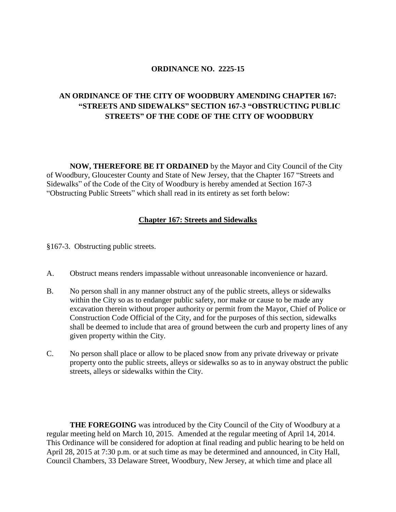## **ORDINANCE NO. 2225-15**

## **AN ORDINANCE OF THE CITY OF WOODBURY AMENDING CHAPTER 167: "STREETS AND SIDEWALKS" SECTION 167-3 "OBSTRUCTING PUBLIC STREETS" OF THE CODE OF THE CITY OF WOODBURY**

**NOW, THEREFORE BE IT ORDAINED** by the Mayor and City Council of the City of Woodbury, Gloucester County and State of New Jersey, that the Chapter 167 "Streets and Sidewalks" of the Code of the City of Woodbury is hereby amended at Section 167-3 "Obstructing Public Streets" which shall read in its entirety as set forth below:

## **Chapter 167: Streets and Sidewalks**

§167-3. Obstructing public streets.

- A. Obstruct means renders impassable without unreasonable inconvenience or hazard.
- B. No person shall in any manner obstruct any of the public streets, alleys or sidewalks within the City so as to endanger public safety, nor make or cause to be made any excavation therein without proper authority or permit from the Mayor, Chief of Police or Construction Code Official of the City, and for the purposes of this section, sidewalks shall be deemed to include that area of ground between the curb and property lines of any given property within the City.
- C. No person shall place or allow to be placed snow from any private driveway or private property onto the public streets, alleys or sidewalks so as to in anyway obstruct the public streets, alleys or sidewalks within the City.

**THE FOREGOING** was introduced by the City Council of the City of Woodbury at a regular meeting held on March 10, 2015. Amended at the regular meeting of April 14, 2014. This Ordinance will be considered for adoption at final reading and public hearing to be held on April 28, 2015 at 7:30 p.m. or at such time as may be determined and announced, in City Hall, Council Chambers, 33 Delaware Street, Woodbury, New Jersey, at which time and place all